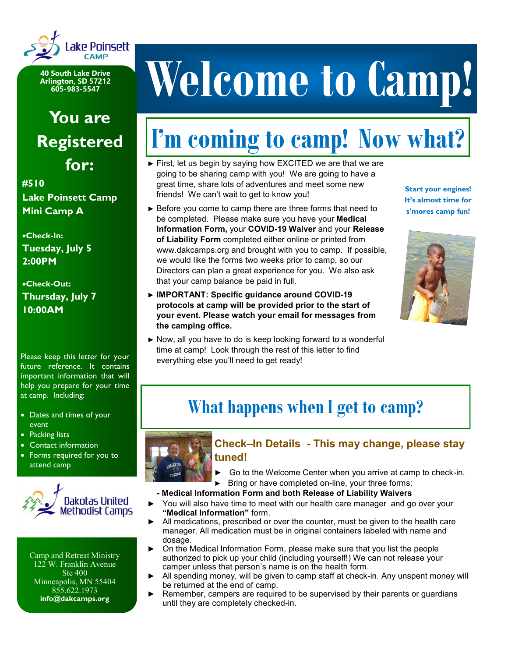

**40 South Lake Drive Arlington, SD 57212 605-983-5547**

### **You are Registered for:**

**#510 Lake Poinsett Camp Mini Camp A**

•**Check-In: Tuesday, July 5 2:00PM**

•**Check-Out: Thursday, July 7 10:00AM**

Please keep this letter for your future reference. It contains important information that will help you prepare for your time at camp. Including:

- Dates and times of your event
- Packing lists
- Contact information
- Forms required for you to attend camp



Camp and Retreat Ministry 122 W. Franklin Avenue Ste 400 Minneapolis, MN 55404 855.622.1973 **info@dakcamps.org**

# **Welcome to Camp!**

## **I'm coming to camp! Now what?**

- ► First, let us begin by saying how EXCITED we are that we are going to be sharing camp with you! We are going to have a great time, share lots of adventures and meet some new friends! We can't wait to get to know you!
- ► Before you come to camp there are three forms that need to be completed. Please make sure you have your **Medical Information Form,** your **COVID-19 Waiver** and your **Release of Liability Form** completed either online or printed from www.dakcamps.org and brought with you to camp. If possible, we would like the forms two weeks prior to camp, so our Directors can plan a great experience for you. We also ask that your camp balance be paid in full.
- ► **IMPORTANT: Specific guidance around COVID-19 protocols at camp will be provided prior to the start of your event. Please watch your email for messages from the camping office.**
- ► Now, all you have to do is keep looking forward to a wonderful time at camp! Look through the rest of this letter to find everything else you'll need to get ready!

**Start your engines! It's almost time for s'mores camp fun!**



### **What happens when I get to camp?**



#### **Check–In Details - This may change, please stay tuned!**

Go to the Welcome Center when you arrive at camp to check-in. ► Bring or have completed on-line, your three forms:

#### **- Medical Information Form and both Release of Liability Waivers**

- You will also have time to meet with our health care manager and go over your **"Medical Information"** form.
- All medications, prescribed or over the counter, must be given to the health care manager. All medication must be in original containers labeled with name and dosage.
- On the Medical Information Form, please make sure that you list the people authorized to pick up your child (including yourself!) We can not release your camper unless that person's name is on the health form.
- All spending money, will be given to camp staff at check-in. Any unspent money will be returned at the end of camp.
- Remember, campers are required to be supervised by their parents or quardians until they are completely checked-in.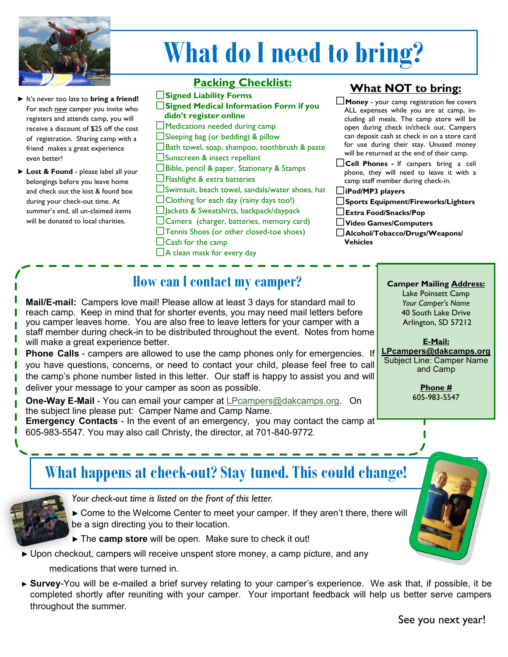

# **What do I need to bring?**

- It's never too late to **bring a friend!** For each new camper you invite who registers and attends camp, you will receive a discount of \$25 off the cost of registration. Sharing camp with a friend makes a great experience even better!
- ► **Lost & Found** please label all your belongings before you leave home and check out the lost & found box during your check-out time. At summer's end, all un-claimed items will be donated to local charities.

#### **Packing Checklist:**

**Signed Liability Forms**

- **Signed Medical Information Form if you didn't register online**
- $\Box$  Medications needed during camp  $\Box$  Sleeping bag (or bedding) & pillow
- $\square$  Bath towel, soap, shampoo, toothbrush & paste
- □Sunscreen & insect repellant
- Bible, pencil & paper, Stationary & Stamps
- Flashlight & extra batteries
- Swimsuit, beach towel, sandals/water shoes, hat
- $\Box$  Clothing for each day (rainy days too!)
- □ ackets & Sweatshirts, backpack/daypack
- $\Box$  Camera (charger, batteries, memory card)
- Tennis Shoes (or other closed-toe shoes)
- $\Box$ Cash for the camp
- $\Box$  A clean mask for every day

#### **What NOT to bring:**

- **Money** your camp registration fee covers ALL expenses while you are at camp, including all meals. The camp store will be open during check in/check out. Campers can deposit cash at check in on a store card for use during their stay. Unused money will be returned at the end of their camp.
- **Cell Phones -** If campers bring a cell phone, they will need to leave it with a camp staff member during check-in.
- **iPod/MP3 players**
- **Sports Equipment/Fireworks/Lighters**
- **Extra Food/Snacks/Pop**
- **Video Games/Computers**
- **Alcohol/Tobacco/Drugs/Weapons/ Vehicles**

**Camper Mailing Address:** Lake Poinsett Camp *Your Camper's Name* 40 South Lake Drive Arlington, SD 57212

**E-Mail: LPcampers@dakcamps.org** Subject Line: Camper Name and Camp

> **Phone #** 605-983-5547

#### **How can I contact my camper?**

**Mail/E-mail:** Campers love mail! Please allow at least 3 days for standard mail to reach camp. Keep in mind that for shorter events, you may need mail letters before you camper leaves home. You are also free to leave letters for your camper with a staff member during check-in to be distributed throughout the event. Notes from home will make a great experience better.

**Phone Calls** - campers are allowed to use the camp phones only for emergencies. If you have questions, concerns, or need to contact your child, please feel free to call the camp's phone number listed in this letter. Our staff is happy to assist you and will deliver your message to your camper as soon as possible.

**One-Way E-Mail** - You can email your camper at [LPcampers@dakcamps.org.](mailto:LPcampers@dakcamps.org) On the subject line please put: Camper Name and Camp Name.

**Emergency Contacts** - In the event of an emergency, you may contact the camp at 605-983-5547. You may also call Christy, the director, at 701-840-9772.

### **What happens at check-out? Stay tuned. This could change!**



*Your check-out time is listed on the front of this letter.* 

► Come to the Welcome Center to meet your camper. If they aren't there, there will be a sign directing you to their location.

► The **camp store** will be open. Make sure to check it out!

- ► Upon checkout, campers will receive unspent store money, a camp picture, and any medications that were turned in.
- ► **Survey**-You will be e-mailed a brief survey relating to your camper's experience. We ask that, if possible, it be completed shortly after reuniting with your camper. Your important feedback will help us better serve campers throughout the summer.